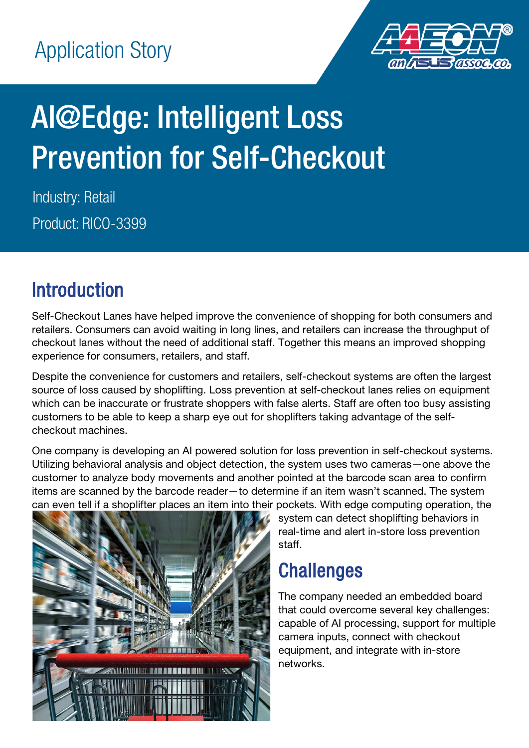

# AI@Edge: Intelligent Loss Prevention for Self-Checkout

Industry: Retail Product: RICO-3399

# Introduction

Self-Checkout Lanes have helped improve the convenience of shopping for both consumers and retailers. Consumers can avoid waiting in long lines, and retailers can increase the throughput of checkout lanes without the need of additional staff. Together this means an improved shopping experience for consumers, retailers, and staff.

Despite the convenience for customers and retailers, self-checkout systems are often the largest source of loss caused by shoplifting. Loss prevention at self-checkout lanes relies on equipment which can be inaccurate or frustrate shoppers with false alerts. Staff are often too busy assisting customers to be able to keep a sharp eye out for shoplifters taking advantage of the selfcheckout machines.

One company is developing an AI powered solution for loss prevention in self-checkout systems. Utilizing behavioral analysis and object detection, the system uses two cameras—one above the customer to analyze body movements and another pointed at the barcode scan area to confirm items are scanned by the barcode reader—to determine if an item wasn't scanned. The system can even tell if a shoplifter places an item into their pockets. With edge computing operation, the



system can detect shoplifting behaviors in real-time and alert in-store loss prevention staff.

# **Challenges**

The company needed an embedded board that could overcome several key challenges: capable of AI processing, support for multiple camera inputs, connect with checkout equipment, and integrate with in-store networks.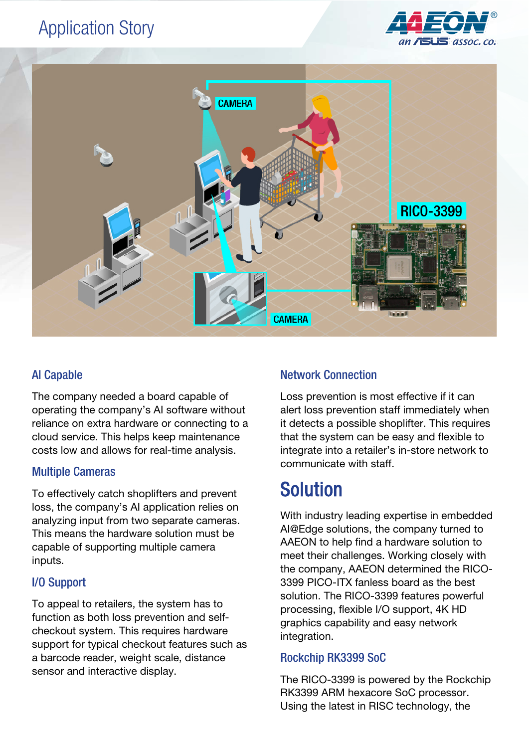### Application Story





#### AI Capable

The company needed a board capable of operating the company's AI software without reliance on extra hardware or connecting to a cloud service. This helps keep maintenance costs low and allows for real-time analysis.

#### Multiple Cameras

To effectively catch shoplifters and prevent loss, the company's AI application relies on analyzing input from two separate cameras. This means the hardware solution must be capable of supporting multiple camera inputs.

#### I/O Support

To appeal to retailers, the system has to function as both loss prevention and selfcheckout system. This requires hardware support for typical checkout features such as a barcode reader, weight scale, distance sensor and interactive display.

#### Network Connection

Loss prevention is most effective if it can alert loss prevention staff immediately when it detects a possible shoplifter. This requires that the system can be easy and flexible to integrate into a retailer's in-store network to communicate with staff.

## Solution

With industry leading expertise in embedded AI@Edge solutions, the company turned to AAEON to help find a hardware solution to meet their challenges. Working closely with the company, AAEON determined the RICO-3399 PICO-ITX fanless board as the best solution. The RICO-3399 features powerful processing, flexible I/O support, 4K HD graphics capability and easy network integration.

#### Rockchip RK3399 SoC

The RICO-3399 is powered by the Rockchip RK3399 ARM hexacore SoC processor. Using the latest in RISC technology, the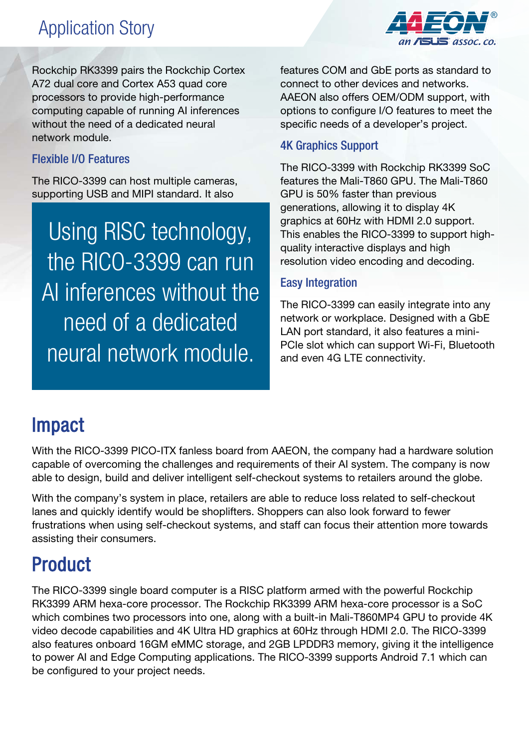## Application Story



Rockchip RK3399 pairs the Rockchip Cortex A72 dual core and Cortex A53 quad core processors to provide high-performance computing capable of running AI inferences without the need of a dedicated neural network module.

#### Flexible I/O Features

The RICO-3399 can host multiple cameras, supporting USB and MIPI standard. It also

Using RISC technology, the RICO-3399 can run AI inferences without the need of a dedicated neural network module.

features COM and GbE ports as standard to connect to other devices and networks. AAEON also offers OEM/ODM support, with options to configure I/O features to meet the specific needs of a developer's project.

#### 4K Graphics Support

The RICO-3399 with Rockchip RK3399 SoC features the Mali-T860 GPU. The Mali-T860 GPU is 50% faster than previous generations, allowing it to display 4K graphics at 60Hz with HDMI 2.0 support. This enables the RICO-3399 to support highquality interactive displays and high resolution video encoding and decoding.

#### Easy Integration

The RICO-3399 can easily integrate into any network or workplace. Designed with a GbE LAN port standard, it also features a mini-PCIe slot which can support Wi-Fi, Bluetooth and even 4G LTE connectivity.

### Impact

With the RICO-3399 PICO-ITX fanless board from AAEON, the company had a hardware solution capable of overcoming the challenges and requirements of their AI system. The company is now able to design, build and deliver intelligent self-checkout systems to retailers around the globe.

With the company's system in place, retailers are able to reduce loss related to self-checkout lanes and quickly identify would be shoplifters. Shoppers can also look forward to fewer frustrations when using self-checkout systems, and staff can focus their attention more towards assisting their consumers.

# Product

The RICO-3399 single board computer is a RISC platform armed with the powerful Rockchip RK3399 ARM hexa-core processor. The Rockchip RK3399 ARM hexa-core processor is a SoC which combines two processors into one, along with a built-in Mali-T860MP4 GPU to provide 4K video decode capabilities and 4K Ultra HD graphics at 60Hz through HDMI 2.0. The RICO-3399 also features onboard 16GM eMMC storage, and 2GB LPDDR3 memory, giving it the intelligence to power AI and Edge Computing applications. The RICO-3399 supports Android 7.1 which can be configured to your project needs.